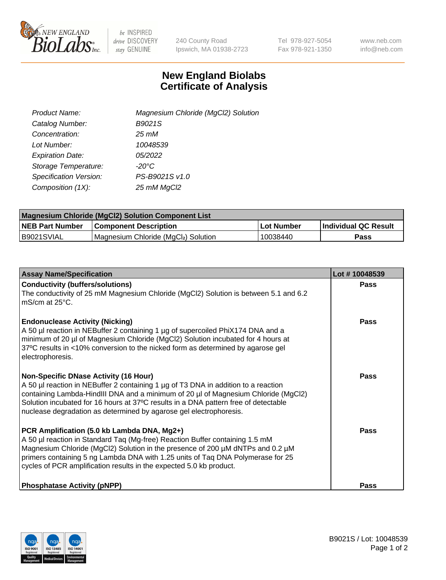

 $be$  INSPIRED drive DISCOVERY stay GENUINE

240 County Road Ipswich, MA 01938-2723 Tel 978-927-5054 Fax 978-921-1350 www.neb.com info@neb.com

## **New England Biolabs Certificate of Analysis**

| Product Name:                 | Magnesium Chloride (MgCl2) Solution |
|-------------------------------|-------------------------------------|
| Catalog Number:               | B9021S                              |
| Concentration:                | $25 \, \text{m}$ M                  |
| Lot Number:                   | 10048539                            |
| <b>Expiration Date:</b>       | 05/2022                             |
| Storage Temperature:          | $-20^{\circ}$ C                     |
| <b>Specification Version:</b> | PS-B9021S v1.0                      |
| Composition (1X):             | 25 mM MgCl2                         |

| <b>Magnesium Chloride (MgCl2) Solution Component List</b> |                                     |            |                      |  |  |
|-----------------------------------------------------------|-------------------------------------|------------|----------------------|--|--|
| <b>NEB Part Number</b>                                    | <b>Component Description</b>        | Lot Number | Individual QC Result |  |  |
| B9021SVIAL                                                | Magnesium Chloride (MgCl2) Solution | 10038440   | Pass                 |  |  |

| <b>Assay Name/Specification</b>                                                                                                                                                                                                                                                                                                                                                       | Lot #10048539 |
|---------------------------------------------------------------------------------------------------------------------------------------------------------------------------------------------------------------------------------------------------------------------------------------------------------------------------------------------------------------------------------------|---------------|
| <b>Conductivity (buffers/solutions)</b><br>The conductivity of 25 mM Magnesium Chloride (MgCl2) Solution is between 5.1 and 6.2<br>l mS/cm at 25°C.                                                                                                                                                                                                                                   | <b>Pass</b>   |
| <b>Endonuclease Activity (Nicking)</b><br>A 50 µl reaction in NEBuffer 2 containing 1 µg of supercoiled PhiX174 DNA and a<br>minimum of 20 µl of Magnesium Chloride (MgCl2) Solution incubated for 4 hours at<br>37°C results in <10% conversion to the nicked form as determined by agarose gel<br>electrophoresis.                                                                  | Pass          |
| <b>Non-Specific DNase Activity (16 Hour)</b><br>A 50 µl reaction in NEBuffer 2 containing 1 µg of T3 DNA in addition to a reaction<br>containing Lambda-HindIII DNA and a minimum of 20 µl of Magnesium Chloride (MgCl2)<br>Solution incubated for 16 hours at 37°C results in a DNA pattern free of detectable<br>nuclease degradation as determined by agarose gel electrophoresis. | Pass          |
| PCR Amplification (5.0 kb Lambda DNA, Mg2+)<br>A 50 µl reaction in Standard Taq (Mg-free) Reaction Buffer containing 1.5 mM<br>Magnesium Chloride (MgCl2) Solution in the presence of 200 µM dNTPs and 0.2 µM<br>primers containing 5 ng Lambda DNA with 1.25 units of Taq DNA Polymerase for 25<br>cycles of PCR amplification results in the expected 5.0 kb product.               | Pass          |
| <b>Phosphatase Activity (pNPP)</b>                                                                                                                                                                                                                                                                                                                                                    | Pass          |